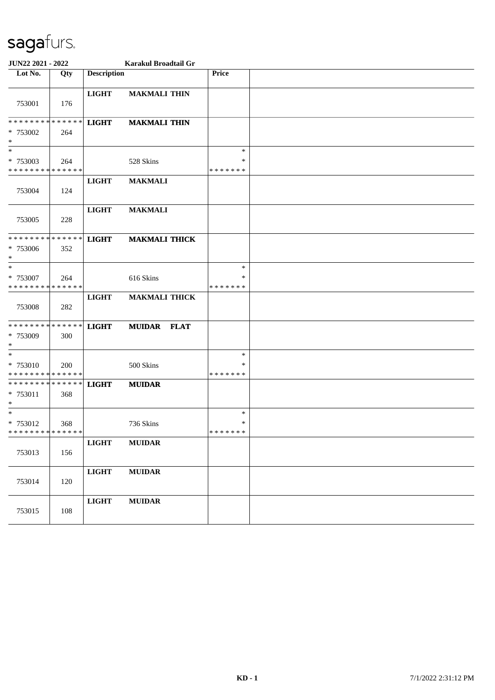| JUN22 2021 - 2022                                   |                    |                    | Karakul Broadtail Gr |                              |  |
|-----------------------------------------------------|--------------------|--------------------|----------------------|------------------------------|--|
| Lot No.                                             | Qty                | <b>Description</b> |                      | <b>Price</b>                 |  |
| 753001                                              | 176                | <b>LIGHT</b>       | <b>MAKMALI THIN</b>  |                              |  |
| ******** <mark>******</mark><br>* 753002<br>$\ast$  | 264                | <b>LIGHT</b>       | <b>MAKMALI THIN</b>  |                              |  |
| $\ast$<br>* 753003<br>* * * * * * * * * * * * * *   | 264                |                    | 528 Skins            | $\ast$<br>∗<br>* * * * * * * |  |
| 753004                                              | 124                | <b>LIGHT</b>       | <b>MAKMALI</b>       |                              |  |
| 753005                                              | 228                | <b>LIGHT</b>       | <b>MAKMALI</b>       |                              |  |
| * * * * * * * * * * * * * *<br>* 753006<br>$\ast$   | 352                | <b>LIGHT</b>       | <b>MAKMALI THICK</b> |                              |  |
| $\ast$<br>* 753007<br>* * * * * * * *               | 264<br>* * * * * * |                    | 616 Skins            | $\ast$<br>∗<br>* * * * * * * |  |
| 753008                                              | 282                | <b>LIGHT</b>       | <b>MAKMALI THICK</b> |                              |  |
| * * * * * * * * * * * * * *<br>* 753009<br>$*$      | 300                | <b>LIGHT</b>       | <b>MUIDAR FLAT</b>   |                              |  |
| $*$<br>* 753010<br>* * * * * * * * * * * * * *      | <b>200</b>         |                    | 500 Skins            | $\ast$<br>∗<br>* * * * * * * |  |
| * * * * * * * * * * * * * * *<br>* 753011<br>$\ast$ | 368                | <b>LIGHT</b>       | <b>MUIDAR</b>        |                              |  |
| $*$<br>* 753012<br>* * * * * * * * * * * * * *      | 368                |                    | 736 Skins            | $\ast$<br>∗<br>* * * * * * * |  |
| 753013                                              | 156                | <b>LIGHT</b>       | <b>MUIDAR</b>        |                              |  |
| 753014                                              | 120                | <b>LIGHT</b>       | <b>MUIDAR</b>        |                              |  |
| 753015                                              | 108                | <b>LIGHT</b>       | <b>MUIDAR</b>        |                              |  |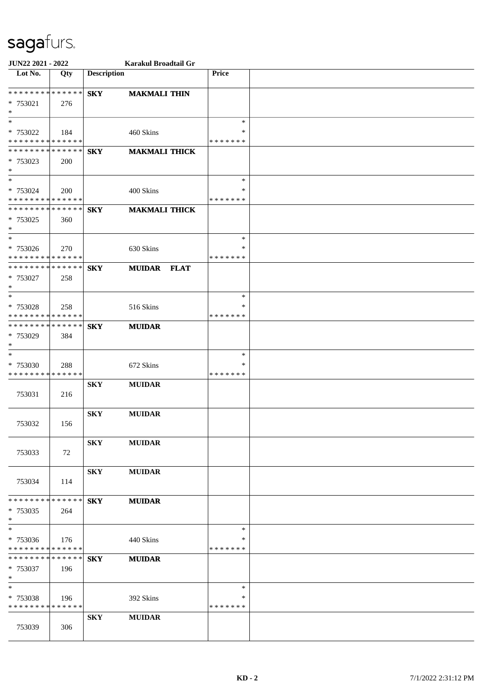| JUN22 2021 - 2022                                            |     |                    | Karakul Broadtail Gr |               |  |
|--------------------------------------------------------------|-----|--------------------|----------------------|---------------|--|
| $\overline{\text{Lot No.}}$                                  | Qty | <b>Description</b> |                      | <b>Price</b>  |  |
| * * * * * * * * * * * * * * *                                |     |                    |                      |               |  |
| * 753021                                                     | 276 | <b>SKY</b>         | <b>MAKMALI THIN</b>  |               |  |
| $*$                                                          |     |                    |                      |               |  |
| $*$                                                          |     |                    |                      | $\ast$        |  |
| * 753022                                                     | 184 |                    | 460 Skins            | $\ast$        |  |
| * * * * * * * * * * * * * *                                  |     |                    |                      | * * * * * * * |  |
| * * * * * * * * * * * * * * *                                |     | <b>SKY</b>         | <b>MAKMALI THICK</b> |               |  |
| * 753023                                                     | 200 |                    |                      |               |  |
| $*$<br>$*$                                                   |     |                    |                      | $\ast$        |  |
| * 753024                                                     | 200 |                    | 400 Skins            | *             |  |
| * * * * * * * * * * * * * *                                  |     |                    |                      | * * * * * * * |  |
| * * * * * * * * * * * * * * *                                |     | <b>SKY</b>         | <b>MAKMALI THICK</b> |               |  |
| * 753025                                                     | 360 |                    |                      |               |  |
| $*$                                                          |     |                    |                      |               |  |
|                                                              |     |                    |                      | $\ast$        |  |
| * 753026                                                     | 270 |                    | 630 Skins            | ∗             |  |
| * * * * * * * * * * * * * *<br>* * * * * * * * * * * * * * * |     |                    |                      | * * * * * * * |  |
| * 753027                                                     | 258 | <b>SKY</b>         | MUIDAR FLAT          |               |  |
| $*$                                                          |     |                    |                      |               |  |
| $*$                                                          |     |                    |                      | $\ast$        |  |
| * 753028                                                     | 258 |                    | 516 Skins            | $\ast$        |  |
| * * * * * * * * * * * * * * *                                |     |                    |                      | * * * * * * * |  |
| * * * * * * * * * * * * * * *                                |     | <b>SKY</b>         | <b>MUIDAR</b>        |               |  |
| * 753029                                                     | 384 |                    |                      |               |  |
| $*$                                                          |     |                    |                      | $\ast$        |  |
| $*$<br>* 753030                                              |     |                    | 672 Skins            | *             |  |
| * * * * * * * * * * * * * *                                  | 288 |                    |                      | * * * * * * * |  |
|                                                              |     | <b>SKY</b>         | <b>MUIDAR</b>        |               |  |
| 753031                                                       | 216 |                    |                      |               |  |
|                                                              |     |                    |                      |               |  |
|                                                              |     | <b>SKY</b>         | <b>MUIDAR</b>        |               |  |
| 753032                                                       | 156 |                    |                      |               |  |
|                                                              |     |                    |                      |               |  |
| 753033                                                       |     | <b>SKY</b>         | <b>MUIDAR</b>        |               |  |
|                                                              | 72  |                    |                      |               |  |
|                                                              |     | <b>SKY</b>         | <b>MUIDAR</b>        |               |  |
| 753034                                                       | 114 |                    |                      |               |  |
|                                                              |     |                    |                      |               |  |
| * * * * * * * * * * * * * * *                                |     | <b>SKY</b>         | <b>MUIDAR</b>        |               |  |
| $*753035$                                                    | 264 |                    |                      |               |  |
| $*$                                                          |     |                    |                      |               |  |
| $\ast$                                                       |     |                    |                      | $\ast$<br>∗   |  |
| * 753036<br>* * * * * * * * * * * * * *                      | 176 |                    | 440 Skins            | * * * * * * * |  |
| * * * * * * * * <mark>* * * * * *</mark>                     |     | <b>SKY</b>         | <b>MUIDAR</b>        |               |  |
| * 753037                                                     | 196 |                    |                      |               |  |
| $*$                                                          |     |                    |                      |               |  |
| $*$                                                          |     |                    |                      | $\ast$        |  |
| * 753038                                                     | 196 |                    | 392 Skins            | *             |  |
| * * * * * * * * * * * * * *                                  |     |                    |                      | * * * * * * * |  |
|                                                              |     | <b>SKY</b>         | <b>MUIDAR</b>        |               |  |
| 753039                                                       | 306 |                    |                      |               |  |
|                                                              |     |                    |                      |               |  |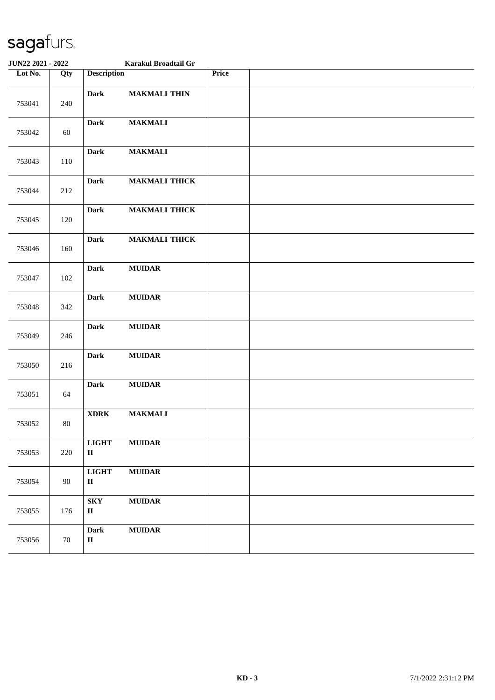| <b>JUN22 2021 - 2022</b> |        | Karakul Broadtail Gr                              |                      |       |  |
|--------------------------|--------|---------------------------------------------------|----------------------|-------|--|
| Lot No.                  | Qty    | <b>Description</b>                                |                      | Price |  |
| 753041                   | 240    | <b>Dark</b>                                       | <b>MAKMALI THIN</b>  |       |  |
| 753042                   | 60     | <b>Dark</b>                                       | <b>MAKMALI</b>       |       |  |
| 753043                   | 110    | <b>Dark</b>                                       | <b>MAKMALI</b>       |       |  |
| 753044                   | 212    | <b>Dark</b>                                       | <b>MAKMALI THICK</b> |       |  |
| 753045                   | 120    | <b>Dark</b>                                       | <b>MAKMALI THICK</b> |       |  |
| 753046                   | 160    | <b>Dark</b>                                       | <b>MAKMALI THICK</b> |       |  |
| 753047                   | 102    | <b>Dark</b>                                       | <b>MUIDAR</b>        |       |  |
| 753048                   | 342    | <b>Dark</b>                                       | <b>MUIDAR</b>        |       |  |
| 753049                   | 246    | <b>Dark</b>                                       | <b>MUIDAR</b>        |       |  |
| 753050                   | 216    | Dark                                              | <b>MUIDAR</b>        |       |  |
| 753051                   | 64     | Dark                                              | <b>MUIDAR</b>        |       |  |
| 753052                   | $80\,$ | <b>XDRK</b>                                       | <b>MAKMALI</b>       |       |  |
| 753053                   | 220    | <b>LIGHT</b><br>$\rm II$                          | <b>MUIDAR</b>        |       |  |
| 753054                   | 90     | <b>LIGHT</b><br>$\mathbf{I}\mathbf{I}$            | $\bf MUIDAR$         |       |  |
| 753055                   | 176    | ${\bf S}{\bf K}{\bf Y}$<br>$\mathbf{I}\mathbf{I}$ | $\bf MUIDAR$         |       |  |
| 753056                   | 70     | <b>Dark</b><br>$\rm II$                           | $\bf MUIDAR$         |       |  |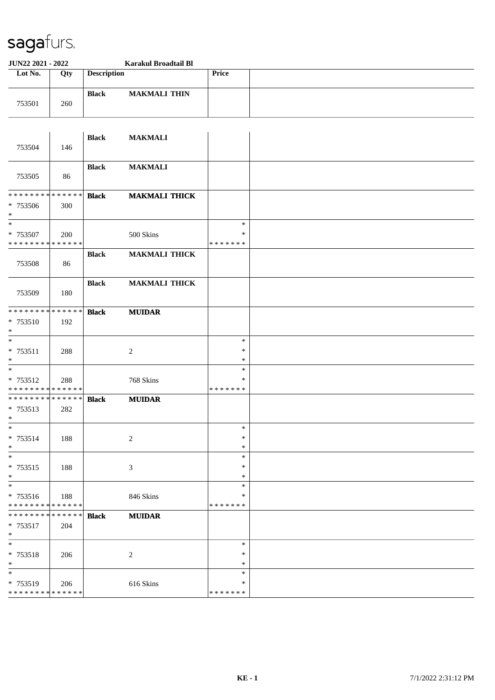| JUN22 2021 - 2022                                  |     |                    | Karakul Broadtail Bl |                                   |  |
|----------------------------------------------------|-----|--------------------|----------------------|-----------------------------------|--|
| Lot No.                                            | Qty | <b>Description</b> |                      | <b>Price</b>                      |  |
| 753501                                             | 260 | <b>Black</b>       | <b>MAKMALI THIN</b>  |                                   |  |
| 753504                                             | 146 | <b>Black</b>       | <b>MAKMALI</b>       |                                   |  |
| 753505                                             | 86  | <b>Black</b>       | <b>MAKMALI</b>       |                                   |  |
| * * * * * * * * * * * * * *<br>* 753506<br>$\ast$  | 300 | <b>Black</b>       | <b>MAKMALI THICK</b> |                                   |  |
| $\ast$<br>* 753507<br>* * * * * * * * * * * * * *  | 200 |                    | 500 Skins            | $\ast$<br>∗<br>* * * * * * *      |  |
| 753508                                             | 86  | <b>Black</b>       | <b>MAKMALI THICK</b> |                                   |  |
| 753509                                             | 180 | <b>Black</b>       | <b>MAKMALI THICK</b> |                                   |  |
| * * * * * * * * * * * * * *<br>* 753510<br>$\ast$  | 192 | <b>Black</b>       | <b>MUIDAR</b>        |                                   |  |
| $\ast$<br>* 753511<br>$\ast$                       | 288 |                    | $\boldsymbol{2}$     | $\ast$<br>$\ast$<br>$\ast$        |  |
| $\ast$<br>* 753512<br>* * * * * * * * * * * * * *  | 288 |                    | 768 Skins            | $\ast$<br>$\ast$<br>* * * * * * * |  |
| * * * * * * * * * * * * * *<br>* 753513<br>$\ast$  | 282 | <b>Black</b>       | <b>MUIDAR</b>        |                                   |  |
| $\ast$<br>* 753514<br>$\ast$                       | 188 |                    | $\sqrt{2}$           | $\ast$<br>$\ast$<br>$\ast$        |  |
| $\ast$<br>* 753515<br>$*$                          | 188 |                    | $\mathfrak{Z}$       | $\ast$<br>$\ast$<br>$\ast$        |  |
| $\ast$<br>* 753516<br>******** <mark>******</mark> | 188 |                    | 846 Skins            | $\ast$<br>$\ast$<br>* * * * * * * |  |
| * * * * * * * * * * * * * *<br>* 753517<br>$\ast$  | 204 | <b>Black</b>       | ${\bf MUIDAR}$       |                                   |  |
| $\ast$<br>* 753518<br>$\ast$                       | 206 |                    | $\overline{c}$       | $\ast$<br>∗<br>$\ast$             |  |
| $\ast$<br>* 753519<br>* * * * * * * * * * * * * *  | 206 |                    | 616 Skins            | $\ast$<br>$\ast$<br>* * * * * * * |  |